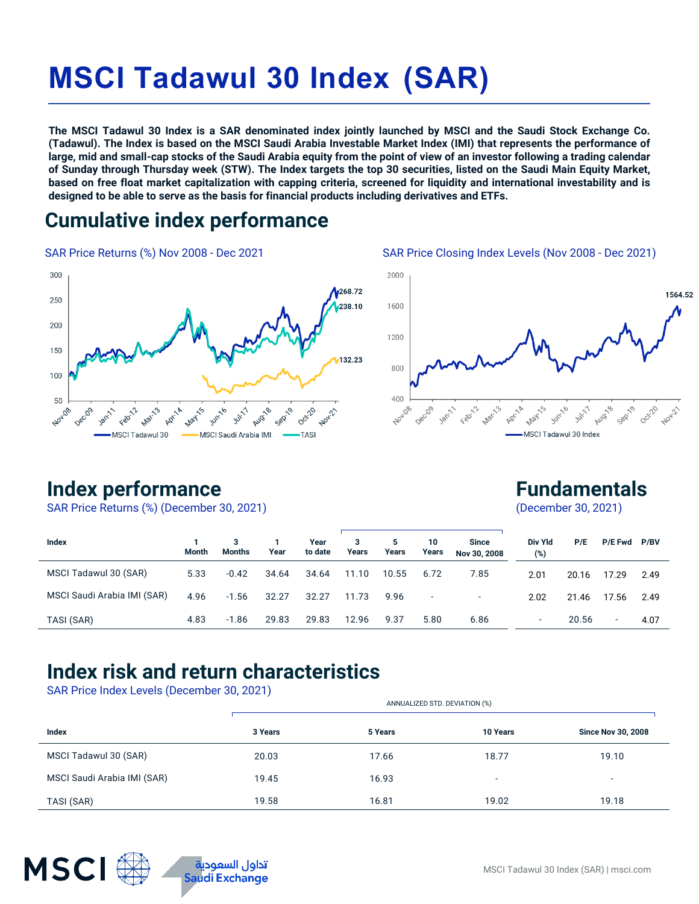# **MSCI Tadawul 30 Index (SAR)**

**The MSCI Tadawul 30 Index is a SAR denominated index jointly launched by MSCI and the Saudi Stock Exchange Co. (Tadawul). The Index is based on the MSCI Saudi Arabia Investable Market Index (IMI) that represents the performance of large, mid and small-cap stocks of the Saudi Arabia equity from the point of view of an investor following a trading calendar of Sunday through Thursday week (STW). The Index targets the top 30 securities, listed on the Saudi Main Equity Market, based on free float market capitalization with capping criteria, screened for liquidity and international investability and is designed to be able to serve as the basis for financial products including derivatives and ETFs.**

### **Cumulative index performance**

SAR Price Returns (%) Nov 2008 - Dec 2021 SAR Price Closing Index Levels (Nov 2008 - Dec 2021)





### **Index performance**

SAR Price Returns (%) (December 30, 2021)

**Fundamentals**

(December 30, 2021)

| Index                       | <b>Month</b> | Months  | Year  | Year<br>to date | 3<br>Years | 5.<br>Years | 10<br>Years | <b>Since</b><br>Nov 30, 2008 | Div Yld<br>(%)           | P/E   | P/E Fwd P/BV             |      |
|-----------------------------|--------------|---------|-------|-----------------|------------|-------------|-------------|------------------------------|--------------------------|-------|--------------------------|------|
| MSCI Tadawul 30 (SAR)       | 5.33         | $-0.42$ | 34.64 | 34.64           | 11.10      | 10.55       | 6.72        | 7.85                         | 2.01                     | 20.16 | 17.29                    | 2.49 |
| MSCI Saudi Arabia IMI (SAR) | 4.96         | $-1.56$ | 32.27 | 32.27           | 11.73      | 9.96        | ٠           | $\overline{\phantom{0}}$     | 2.02                     | 21.46 | 17.56                    | 2.49 |
| TASI (SAR)                  | 4.83         | $-1.86$ | 29.83 | 29.83           | 12.96      | 9.37        | 5.80        | 6.86                         | $\overline{\phantom{a}}$ | 20.56 | $\overline{\phantom{a}}$ | 4.07 |

### **Index risk and return characteristics**

SAR Price Index Levels (December 30, 2021)

|                             |         | ANNUALIZED STD. DEVIATION (%) |                          |                           |  |  |  |
|-----------------------------|---------|-------------------------------|--------------------------|---------------------------|--|--|--|
| Index                       | 3 Years | 5 Years                       | <b>10 Years</b>          | <b>Since Nov 30, 2008</b> |  |  |  |
| MSCI Tadawul 30 (SAR)       | 20.03   | 17.66                         | 18.77                    | 19.10                     |  |  |  |
| MSCI Saudi Arabia IMI (SAR) | 19.45   | 16.93                         | $\overline{\phantom{0}}$ | $\overline{\phantom{0}}$  |  |  |  |
| TASI (SAR)                  | 19.58   | 16.81                         | 19.02                    | 19.18                     |  |  |  |